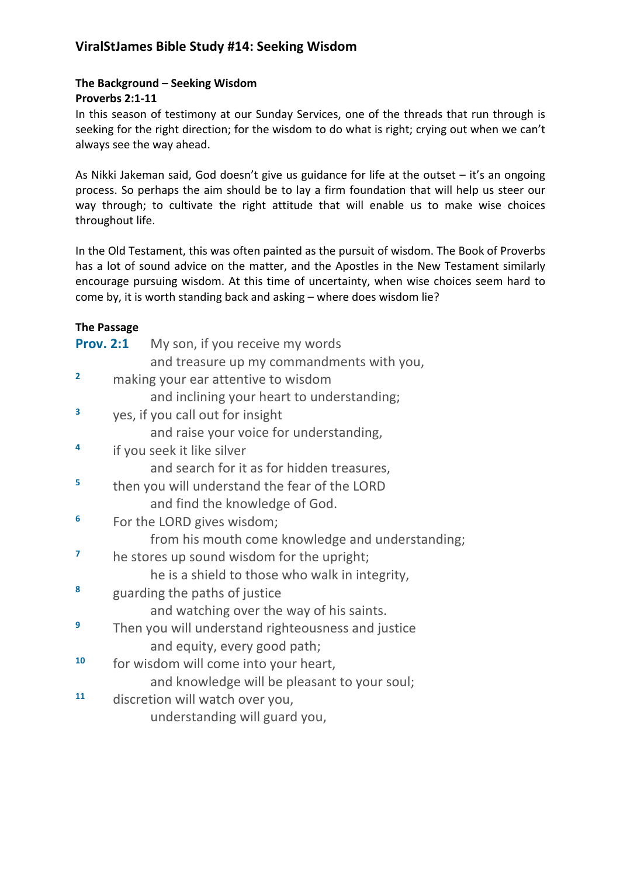# **ViralStJames Bible Study #14: Seeking Wisdom**

### **The Background – Seeking Wisdom**

### **Proverbs 2:1-11**

In this season of testimony at our Sunday Services, one of the threads that run through is seeking for the right direction; for the wisdom to do what is right; crying out when we can't always see the way ahead.

As Nikki Jakeman said, God doesn't give us guidance for life at the outset – it's an ongoing process. So perhaps the aim should be to lay a firm foundation that will help us steer our way through; to cultivate the right attitude that will enable us to make wise choices throughout life.

In the Old Testament, this was often painted as the pursuit of wisdom. The Book of Proverbs has a lot of sound advice on the matter, and the Apostles in the New Testament similarly encourage pursuing wisdom. At this time of uncertainty, when wise choices seem hard to come by, it is worth standing back and asking – where does wisdom lie?

# **The Passage**

| <b>Prov. 2:1</b> | My son, if you receive my words                    |                                                  |
|------------------|----------------------------------------------------|--------------------------------------------------|
|                  | and treasure up my commandments with you,          |                                                  |
| $\overline{2}$   | making your ear attentive to wisdom                |                                                  |
|                  | and inclining your heart to understanding;         |                                                  |
| 3                | yes, if you call out for insight                   |                                                  |
|                  | and raise your voice for understanding,            |                                                  |
| 4                | if you seek it like silver                         |                                                  |
|                  | and search for it as for hidden treasures,         |                                                  |
| 5                | then you will understand the fear of the LORD      |                                                  |
|                  | and find the knowledge of God.                     |                                                  |
| 6                | For the LORD gives wisdom;                         |                                                  |
|                  |                                                    | from his mouth come knowledge and understanding; |
| $\overline{7}$   | he stores up sound wisdom for the upright;         |                                                  |
|                  | he is a shield to those who walk in integrity,     |                                                  |
| 8                | guarding the paths of justice                      |                                                  |
|                  | and watching over the way of his saints.           |                                                  |
| 9                | Then you will understand righteousness and justice |                                                  |
|                  | and equity, every good path;                       |                                                  |
| 10               | for wisdom will come into your heart,              |                                                  |
|                  | and knowledge will be pleasant to your soul;       |                                                  |
| 11               | discretion will watch over you,                    |                                                  |
|                  | understanding will guard you,                      |                                                  |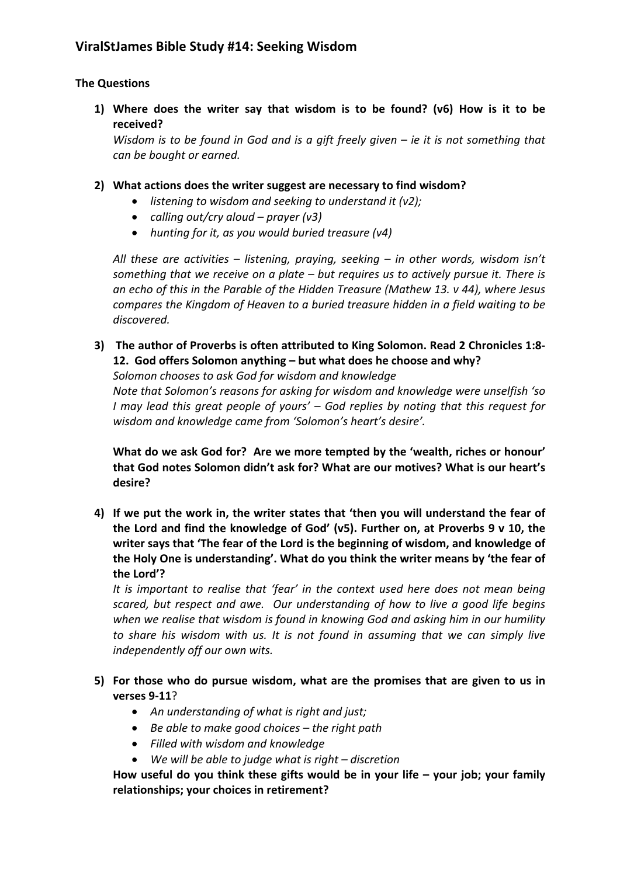# **The Questions**

**1) Where does the writer say that wisdom is to be found? (v6) How is it to be received?**

*Wisdom is to be found in God and is a gift freely given – ie it is not something that can be bought or earned.* 

- **2) What actions does the writer suggest are necessary to find wisdom?** 
	- *listening to wisdom and seeking to understand it (v2);*
	- *calling out/cry aloud – prayer (v3)*
	- *hunting for it, as you would buried treasure (v4)*

*All these are activities – listening, praying, seeking – in other words, wisdom isn't something that we receive on a plate – but requires us to actively pursue it. There is an echo of this in the Parable of the Hidden Treasure (Mathew 13. v 44), where Jesus compares the Kingdom of Heaven to a buried treasure hidden in a field waiting to be discovered.*

**3) The author of Proverbs is often attributed to King Solomon. Read 2 Chronicles 1:8- 12. God offers Solomon anything – but what does he choose and why?**

*Solomon chooses to ask God for wisdom and knowledge* 

*Note that Solomon's reasons for asking for wisdom and knowledge were unselfish 'so I may lead this great people of yours' – God replies by noting that this request for wisdom and knowledge came from 'Solomon's heart's desire'.*

**What do we ask God for? Are we more tempted by the 'wealth, riches or honour' that God notes Solomon didn't ask for? What are our motives? What is our heart's desire?**

**4) If we put the work in, the writer states that 'then you will understand the fear of the Lord and find the knowledge of God' (v5). Further on, at Proverbs 9 v 10, the writer says that 'The fear of the Lord is the beginning of wisdom, and knowledge of the Holy One is understanding'. What do you think the writer means by 'the fear of the Lord'?**

*It is important to realise that 'fear' in the context used here does not mean being scared, but respect and awe. Our understanding of how to live a good life begins when we realise that wisdom is found in knowing God and asking him in our humility to share his wisdom with us. It is not found in assuming that we can simply live independently off our own wits.* 

- **5) For those who do pursue wisdom, what are the promises that are given to us in verses 9-11**?
	- *An understanding of what is right and just;*
	- *Be able to make good choices – the right path*
	- *Filled with wisdom and knowledge*
	- *We will be able to judge what is right – discretion*

**How useful do you think these gifts would be in your life – your job; your family relationships; your choices in retirement?**